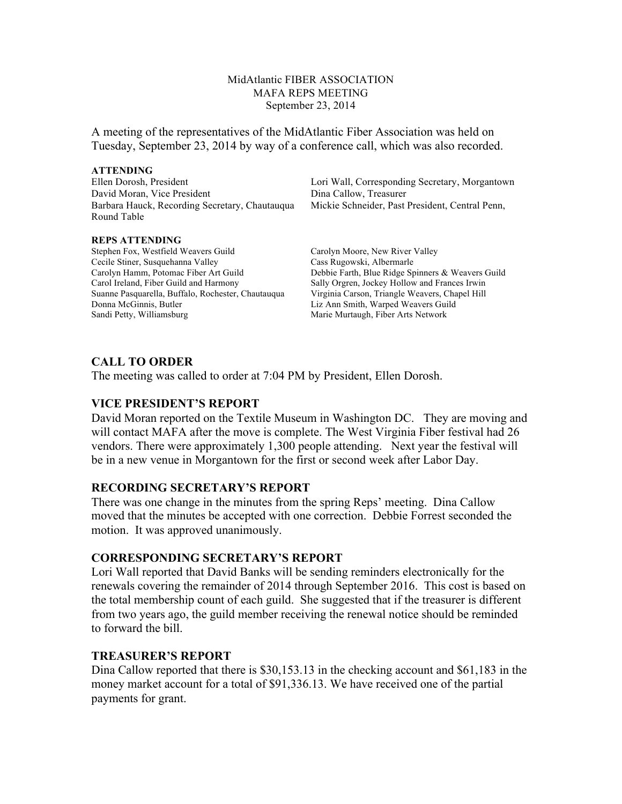MidAtlantic FIBER ASSOCIATION MAFA REPS MEETING September 23, 2014

A meeting of the representatives of the MidAtlantic Fiber Association was held on Tuesday, September 23, 2014 by way of a conference call, which was also recorded.

#### **ATTENDING**

David Moran, Vice President Dina Callow, Treasurer Barbara Hauck, Recording Secretary, Chautauqua Mickie Schneider, Past President, Central Penn, Round Table

#### **REPS ATTENDING**

Stephen Fox, Westfield Weavers Guild Carolyn Moore, New River Valley Cecile Stiner, Susquehanna Valley Cass Rugowski, Albermarle Carol Ireland, Fiber Guild and Harmony Sally Orgren, Jockey Hollow and Frances Irwin Suanne Pasquarella, Buffalo, Rochester, Chautauqua Virginia Carson, Triangle Weavers, Chapel Hill Donna McGinnis, Butler Liz Ann Smith, Warped Weavers Guild Sandi Petty, Williamsburg Marie Murtaugh, Fiber Arts Network

Ellen Dorosh, President Lori Wall, Corresponding Secretary, Morgantown

Carolyn Hamm, Potomac Fiber Art Guild Debbie Farth, Blue Ridge Spinners & Weavers Guild

## **CALL TO ORDER**

The meeting was called to order at 7:04 PM by President, Ellen Dorosh.

#### **VICE PRESIDENT'S REPORT**

David Moran reported on the Textile Museum in Washington DC. They are moving and will contact MAFA after the move is complete. The West Virginia Fiber festival had 26 vendors. There were approximately 1,300 people attending. Next year the festival will be in a new venue in Morgantown for the first or second week after Labor Day.

## **RECORDING SECRETARY'S REPORT**

There was one change in the minutes from the spring Reps' meeting. Dina Callow moved that the minutes be accepted with one correction. Debbie Forrest seconded the motion. It was approved unanimously.

## **CORRESPONDING SECRETARY'S REPORT**

Lori Wall reported that David Banks will be sending reminders electronically for the renewals covering the remainder of 2014 through September 2016. This cost is based on the total membership count of each guild. She suggested that if the treasurer is different from two years ago, the guild member receiving the renewal notice should be reminded to forward the bill.

# **TREASURER'S REPORT**

Dina Callow reported that there is \$30,153.13 in the checking account and \$61,183 in the money market account for a total of \$91,336.13. We have received one of the partial payments for grant.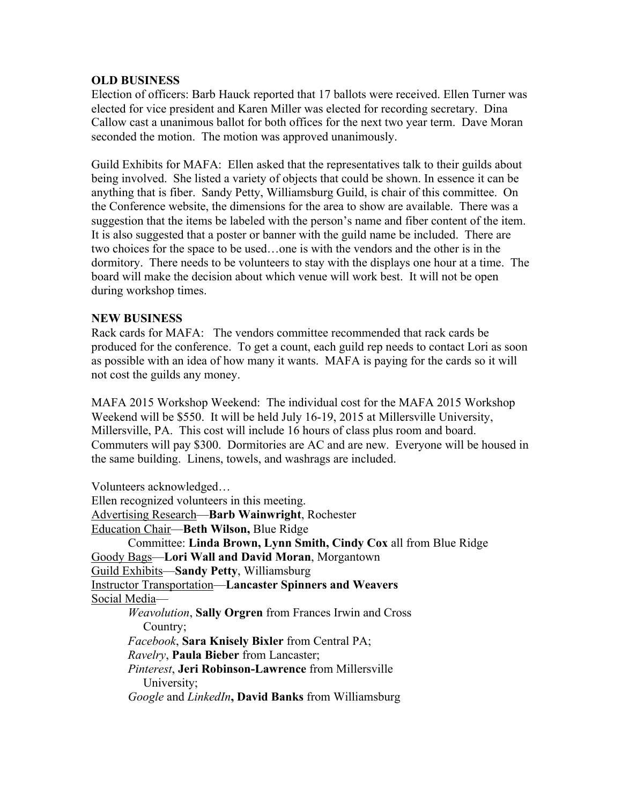# **OLD BUSINESS**

Election of officers: Barb Hauck reported that 17 ballots were received. Ellen Turner was elected for vice president and Karen Miller was elected for recording secretary. Dina Callow cast a unanimous ballot for both offices for the next two year term. Dave Moran seconded the motion. The motion was approved unanimously.

Guild Exhibits for MAFA: Ellen asked that the representatives talk to their guilds about being involved. She listed a variety of objects that could be shown. In essence it can be anything that is fiber. Sandy Petty, Williamsburg Guild, is chair of this committee. On the Conference website, the dimensions for the area to show are available. There was a suggestion that the items be labeled with the person's name and fiber content of the item. It is also suggested that a poster or banner with the guild name be included. There are two choices for the space to be used…one is with the vendors and the other is in the dormitory. There needs to be volunteers to stay with the displays one hour at a time. The board will make the decision about which venue will work best. It will not be open during workshop times.

# **NEW BUSINESS**

Rack cards for MAFA: The vendors committee recommended that rack cards be produced for the conference. To get a count, each guild rep needs to contact Lori as soon as possible with an idea of how many it wants. MAFA is paying for the cards so it will not cost the guilds any money.

MAFA 2015 Workshop Weekend: The individual cost for the MAFA 2015 Workshop Weekend will be \$550. It will be held July 16-19, 2015 at Millersville University, Millersville, PA. This cost will include 16 hours of class plus room and board. Commuters will pay \$300. Dormitories are AC and are new. Everyone will be housed in the same building. Linens, towels, and washrags are included.

Volunteers acknowledged… Ellen recognized volunteers in this meeting. Advertising Research—**Barb Wainwright**, Rochester Education Chair—**Beth Wilson,** Blue Ridge Committee: **Linda Brown, Lynn Smith, Cindy Cox** all from Blue Ridge Goody Bags—**Lori Wall and David Moran**, Morgantown Guild Exhibits—**Sandy Petty**, Williamsburg Instructor Transportation—**Lancaster Spinners and Weavers** Social Media— *Weavolution*, **Sally Orgren** from Frances Irwin and Cross Country; *Facebook*, **Sara Knisely Bixler** from Central PA; *Ravelry*, **Paula Bieber** from Lancaster; *Pinterest*, **Jeri Robinson-Lawrence** from Millersville University; *Google* and *LinkedIn***, David Banks** from Williamsburg